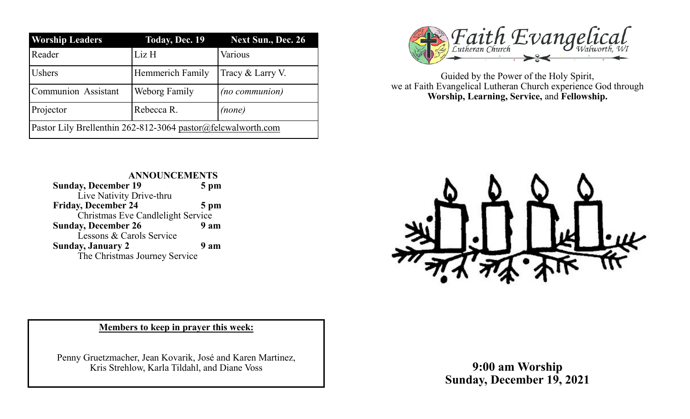| <b>Worship Leaders</b>                                       | <b>Today, Dec. 19</b>   | <b>Next Sun., Dec. 26</b> |
|--------------------------------------------------------------|-------------------------|---------------------------|
| Reader                                                       | Liz H                   | Various                   |
| <b>Ushers</b>                                                | <b>Hemmerich Family</b> | Tracy & Larry V.          |
| Communion Assistant                                          | Weborg Family           | (no communion)            |
| Projector                                                    | Rebecca R.              | (none)                    |
| Pastor Lily Brellenthin 262-812-3064 pastor@felcwalworth.com |                         |                           |



Guided by the Power of the Holy Spirit, we at Faith Evangelical Lutheran Church experience God through **Worship, Learning, Service,** and **Fellowship.**

#### **ANNOUNCEMENTS Sunday, December 19 5 pm** Live Nativity Drive-thru **Friday, December 24 5 pm** Christmas Eve Candlelight Service **Sunday, December 26 9 am** Lessons & Carols Service **Sunday, January 2 9 am** The Christmas Journey Service



#### **Members to keep in prayer this week:**

Penny Gruetzmacher, Jean Kovarik, José and Karen Martinez, Kris Strehlow, Karla Tildahl, and Diane Voss

**9:00 am Worship Sunday, December 19, 2021**